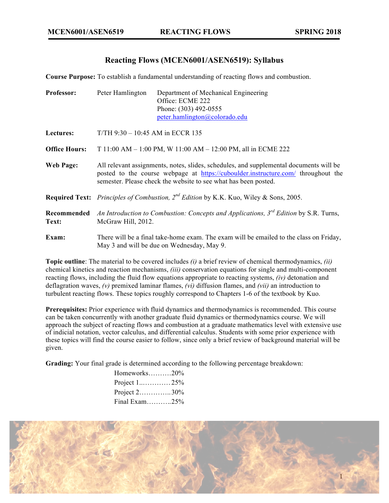# **Reacting Flows (MCEN6001/ASEN6519): Syllabus**

**Course Purpose:** To establish a fundamental understanding of reacting flows and combustion.

| <b>Professor:</b>    | Peter Hamlington                                                                                                                                                                                                                               | Department of Mechanical Engineering<br>Office: ECME 222<br>Phone: (303) 492-0555<br>peter.hamlington@colorado.edu |  |
|----------------------|------------------------------------------------------------------------------------------------------------------------------------------------------------------------------------------------------------------------------------------------|--------------------------------------------------------------------------------------------------------------------|--|
| Lectures:            | $T/TH$ 9:30 – 10:45 AM in ECCR 135                                                                                                                                                                                                             |                                                                                                                    |  |
| <b>Office Hours:</b> | T 11:00 AM $-$ 1:00 PM, W 11:00 AM $-$ 12:00 PM, all in ECME 222                                                                                                                                                                               |                                                                                                                    |  |
| <b>Web Page:</b>     | All relevant assignments, notes, slides, schedules, and supplemental documents will be<br>posted to the course webpage at https://cuboulder.instructure.com/ throughout the<br>semester. Please check the website to see what has been posted. |                                                                                                                    |  |
|                      | <b>Required Text:</b> Principles of Combustion, $2^{nd}$ Edition by K.K. Kuo, Wiley & Sons, 2005.                                                                                                                                              |                                                                                                                    |  |
| Recommended<br>Text: | An Introduction to Combustion: Concepts and Applications, $3^{rd}$ Edition by S.R. Turns,<br>McGraw Hill, 2012.                                                                                                                                |                                                                                                                    |  |
| Exam:                | There will be a final take-home exam. The exam will be emailed to the class on Friday,<br>May 3 and will be due on Wednesday, May 9.                                                                                                           |                                                                                                                    |  |

**Topic outline**: The material to be covered includes *(i)* a brief review of chemical thermodynamics, *(ii)* chemical kinetics and reaction mechanisms, *(iii)* conservation equations for single and multi-component reacting flows, including the fluid flow equations appropriate to reacting systems, *(iv)* detonation and deflagration waves, *(v)* premixed laminar flames, *(vi)* diffusion flames, and *(vii)* an introduction to turbulent reacting flows. These topics roughly correspond to Chapters 1-6 of the textbook by Kuo.

**Prerequisites:** Prior experience with fluid dynamics and thermodynamics is recommended. This course can be taken concurrently with another graduate fluid dynamics or thermodynamics course. We will approach the subject of reacting flows and combustion at a graduate mathematics level with extensive use of indicial notation, vector calculus, and differential calculus. Students with some prior experience with these topics will find the course easier to follow, since only a brief review of background material will be given.

**Grading:** Your final grade is determined according to the following percentage breakdown:

| Homeworks20%    |
|-----------------|
|                 |
| Project $2$ 30% |
| Final Exam25%   |
|                 |

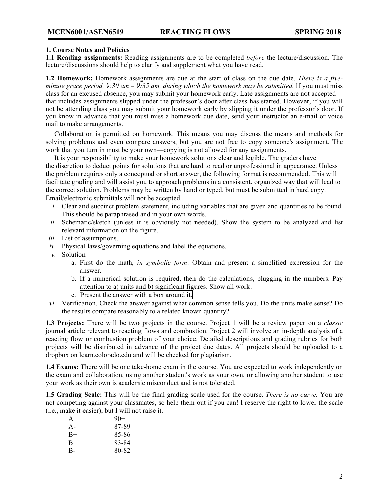# **1. Course Notes and Policies**

**1.1 Reading assignments:** Reading assignments are to be completed *before* the lecture/discussion. The lecture/discussions should help to clarify and supplement what you have read.

**1.2 Homework:** Homework assignments are due at the start of class on the due date. *There is a fiveminute grace period, 9:30 am – 9:35 am, during which the homework may be submitted.* If you must miss class for an excused absence, you may submit your homework early. Late assignments are not accepted that includes assignments slipped under the professor's door after class has started. However, if you will not be attending class you may submit your homework early by slipping it under the professor's door. If you know in advance that you must miss a homework due date, send your instructor an e-mail or voice mail to make arrangements.

 Collaboration is permitted on homework. This means you may discuss the means and methods for solving problems and even compare answers, but you are not free to copy someone's assignment. The work that you turn in must be your own—copying is not allowed for any assignments.

 It is your responsibility to make your homework solutions clear and legible. The graders have the discretion to deduct points for solutions that are hard to read or unprofessional in appearance. Unless the problem requires only a conceptual or short answer, the following format is recommended. This will facilitate grading and will assist you to approach problems in a consistent, organized way that will lead to the correct solution. Problems may be written by hand or typed, but must be submitted in hard copy. Email/electronic submittals will not be accepted.

- *i.* Clear and succinct problem statement, including variables that are given and quantities to be found. This should be paraphrased and in your own words.
- *ii.* Schematic/sketch (unless it is obviously not needed). Show the system to be analyzed and list relevant information on the figure.
- *iii.* List of assumptions.
- *iv.* Physical laws/governing equations and label the equations.
- *v.* Solution
	- a. First do the math, *in symbolic form*. Obtain and present a simplified expression for the answer.
	- b. If a numerical solution is required, then do the calculations, plugging in the numbers. Pay attention to a) units and b) significant figures. Show all work.
	- c. Present the answer with a box around it.
- *vi.* Verification. Check the answer against what common sense tells you. Do the units make sense? Do the results compare reasonably to a related known quantity?

**1.3 Projects:** There will be two projects in the course. Project 1 will be a review paper on a *classic* journal article relevant to reacting flows and combustion. Project 2 will involve an in-depth analysis of a reacting flow or combustion problem of your choice. Detailed descriptions and grading rubrics for both projects will be distributed in advance of the project due dates. All projects should be uploaded to a dropbox on learn.colorado.edu and will be checked for plagiarism.

**1.4 Exams:** There will be one take-home exam in the course. You are expected to work independently on the exam and collaboration, using another student's work as your own, or allowing another student to use your work as their own is academic misconduct and is not tolerated.

**1.5 Grading Scale:** This will be the final grading scale used for the course. *There is no curve.* You are not competing against your classmates, so help them out if you can! I reserve the right to lower the scale (i.e., make it easier), but I will not raise it.

| A     | $90+$ |
|-------|-------|
| $A -$ | 87-89 |
| $B+$  | 85-86 |
| B     | 83-84 |
| $B -$ | 80-82 |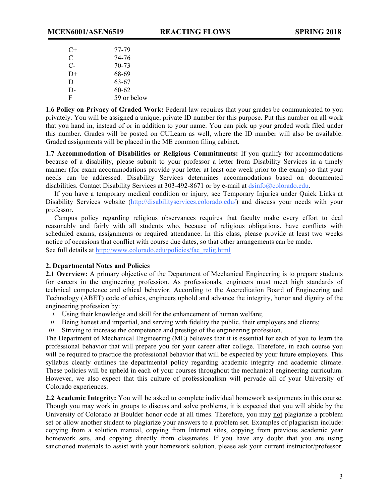| C+   | 77-79       |
|------|-------------|
| C    | 74-76       |
| $C-$ | 70-73       |
| $D+$ | 68-69       |
| D    | 63-67       |
| $D-$ | $60 - 62$   |
| F    | 59 or below |

**1.6 Policy on Privacy of Graded Work:** Federal law requires that your grades be communicated to you privately. You will be assigned a unique, private ID number for this purpose. Put this number on all work that you hand in, instead of or in addition to your name. You can pick up your graded work filed under this number. Grades will be posted on CULearn as well, where the ID number will also be available. Graded assignments will be placed in the ME common filing cabinet.

**1.7 Accommodation of Disabilities or Religious Commitments:** If you qualify for accommodations because of a disability, please submit to your professor a letter from Disability Services in a timely manner (for exam accommodations provide your letter at least one week prior to the exam) so that your needs can be addressed. Disability Services determines accommodations based on documented disabilities. Contact Disability Services at 303-492-8671 or by e-mail at  $\frac{d \sin 6(a) \cos 2(a)}{2d}$ .

 If you have a temporary medical condition or injury, see Temporary Injuries under Quick Links at Disability Services website (http://disabilityservices.colorado.edu/) and discuss your needs with your professor.

 Campus policy regarding religious observances requires that faculty make every effort to deal reasonably and fairly with all students who, because of religious obligations, have conflicts with scheduled exams, assignments or required attendance. In this class, please provide at least two weeks notice of occasions that conflict with course due dates, so that other arrangements can be made. See full details at http://www.colorado.edu/policies/fac\_relig.html

#### **2. Departmental Notes and Policies**

**2.1 Overview:** A primary objective of the Department of Mechanical Engineering is to prepare students for careers in the engineering profession. As professionals, engineers must meet high standards of technical competence and ethical behavior. According to the Accreditation Board of Engineering and Technology (ABET) code of ethics, engineers uphold and advance the integrity, honor and dignity of the engineering profession by:

- *i.* Using their knowledge and skill for the enhancement of human welfare;
- *ii.* Being honest and impartial, and serving with fidelity the public, their employers and clients;
- *iii.* Striving to increase the competence and prestige of the engineering profession.

The Department of Mechanical Engineering (ME) believes that it is essential for each of you to learn the professional behavior that will prepare you for your career after college. Therefore, in each course you will be required to practice the professional behavior that will be expected by your future employers. This syllabus clearly outlines the departmental policy regarding academic integrity and academic climate. These policies will be upheld in each of your courses throughout the mechanical engineering curriculum. However, we also expect that this culture of professionalism will pervade all of your University of Colorado experiences.

**2.2 Academic Integrity:** You will be asked to complete individual homework assignments in this course. Though you may work in groups to discuss and solve problems, it is expected that you will abide by the University of Colorado at Boulder honor code at all times. Therefore, you may not plagiarize a problem set or allow another student to plagiarize your answers to a problem set. Examples of plagiarism include: copying from a solution manual, copying from Internet sites, copying from previous academic year homework sets, and copying directly from classmates. If you have any doubt that you are using sanctioned materials to assist with your homework solution, please ask your current instructor/professor.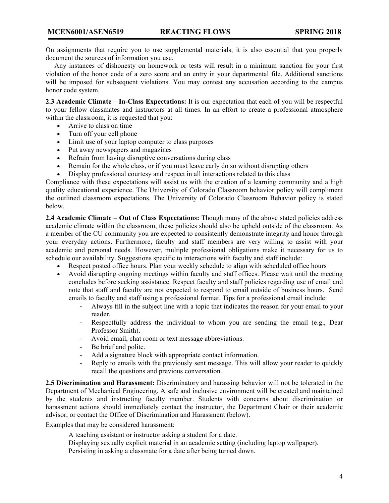On assignments that require you to use supplemental materials, it is also essential that you properly document the sources of information you use.

 Any instances of dishonesty on homework or tests will result in a minimum sanction for your first violation of the honor code of a zero score and an entry in your departmental file. Additional sanctions will be imposed for subsequent violations. You may contest any accusation according to the campus honor code system.

**2.3 Academic Climate** – **In-Class Expectations:** It is our expectation that each of you will be respectful to your fellow classmates and instructors at all times. In an effort to create a professional atmosphere within the classroom, it is requested that you:

- Arrive to class on time
- Turn off your cell phone
- Limit use of your laptop computer to class purposes
- Put away newspapers and magazines
- Refrain from having disruptive conversations during class
- Remain for the whole class, or if you must leave early do so without disrupting others
- Display professional courtesy and respect in all interactions related to this class

Compliance with these expectations will assist us with the creation of a learning community and a high quality educational experience. The University of Colorado Classroom behavior policy will compliment the outlined classroom expectations. The University of Colorado Classroom Behavior policy is stated below.

**2.4 Academic Climate** – **Out of Class Expectations:** Though many of the above stated policies address academic climate within the classroom, these policies should also be upheld outside of the classroom. As a member of the CU community you are expected to consistently demonstrate integrity and honor through your everyday actions. Furthermore, faculty and staff members are very willing to assist with your academic and personal needs. However, multiple professional obligations make it necessary for us to schedule our availability. Suggestions specific to interactions with faculty and staff include:

- Respect posted office hours. Plan your weekly schedule to align with scheduled office hours
- Avoid disrupting ongoing meetings within faculty and staff offices. Please wait until the meeting concludes before seeking assistance. Respect faculty and staff policies regarding use of email and note that staff and faculty are not expected to respond to email outside of business hours. Send emails to faculty and staff using a professional format. Tips for a professional email include:
	- Always fill in the subject line with a topic that indicates the reason for your email to your reader.
	- Respectfully address the individual to whom you are sending the email (e.g., Dear Professor Smith).
	- Avoid email, chat room or text message abbreviations.
	- Be brief and polite.
	- Add a signature block with appropriate contact information.
	- Reply to emails with the previously sent message. This will allow your reader to quickly recall the questions and previous conversation.

**2.5 Discrimination and Harassment:** Discriminatory and harassing behavior will not be tolerated in the Department of Mechanical Engineering. A safe and inclusive environment will be created and maintained by the students and instructing faculty member. Students with concerns about discrimination or harassment actions should immediately contact the instructor, the Department Chair or their academic advisor, or contact the Office of Discrimination and Harassment (below).

Examples that may be considered harassment:

A teaching assistant or instructor asking a student for a date.

Displaying sexually explicit material in an academic setting (including laptop wallpaper). Persisting in asking a classmate for a date after being turned down.